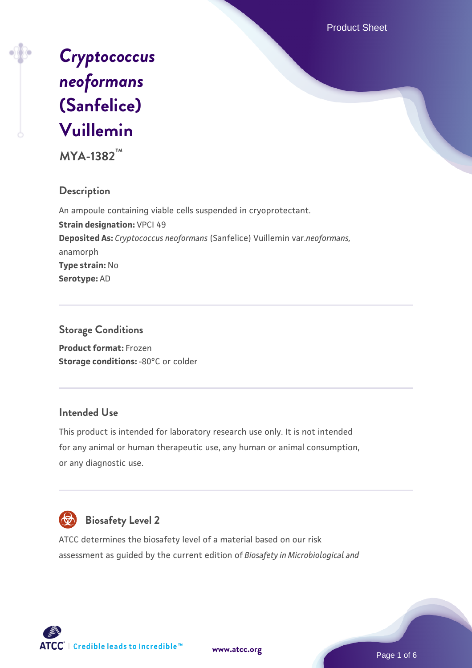Product Sheet



**MYA-1382™**

## **Description**

An ampoule containing viable cells suspended in cryoprotectant. **Strain designation:** VPCI 49 **Deposited As:** *Cryptococcus neoformans* (Sanfelice) Vuillemin var.*neoformans,* anamorph **Type strain:** No **Serotype:** AD

## **Storage Conditions**

**Product format:** Frozen **Storage conditions: -80°C or colder** 

## **Intended Use**

This product is intended for laboratory research use only. It is not intended for any animal or human therapeutic use, any human or animal consumption, or any diagnostic use.



## **Biosafety Level 2**

ATCC determines the biosafety level of a material based on our risk assessment as guided by the current edition of *Biosafety in Microbiological and*



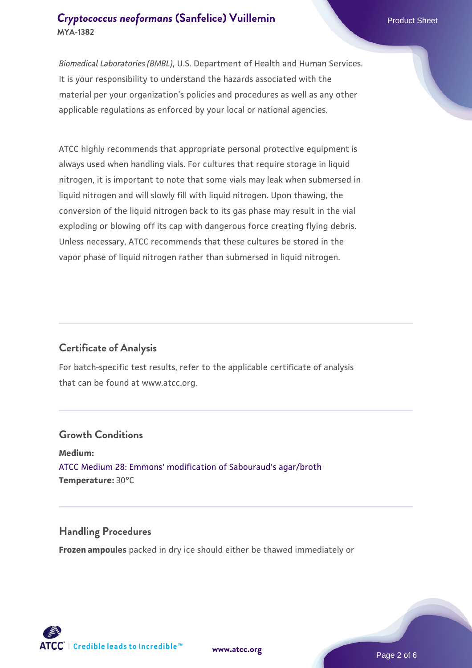## **[Cryptococcus neoformans](https://www.atcc.org/products/mya-1382) [\(Sanfelice\) Vuillemin](https://www.atcc.org/products/mya-1382)** Product Sheet **MYA-1382**

*Biomedical Laboratories (BMBL)*, U.S. Department of Health and Human Services. It is your responsibility to understand the hazards associated with the material per your organization's policies and procedures as well as any other applicable regulations as enforced by your local or national agencies.

ATCC highly recommends that appropriate personal protective equipment is always used when handling vials. For cultures that require storage in liquid nitrogen, it is important to note that some vials may leak when submersed in liquid nitrogen and will slowly fill with liquid nitrogen. Upon thawing, the conversion of the liquid nitrogen back to its gas phase may result in the vial exploding or blowing off its cap with dangerous force creating flying debris. Unless necessary, ATCC recommends that these cultures be stored in the vapor phase of liquid nitrogen rather than submersed in liquid nitrogen.

## **Certificate of Analysis**

For batch-specific test results, refer to the applicable certificate of analysis that can be found at www.atcc.org.

#### **Growth Conditions**

**Medium:**  [ATCC Medium 28: Emmons' modification of Sabouraud's agar/broth](https://www.atcc.org/-/media/product-assets/documents/microbial-media-formulations/2/8/atcc-medium-28.pdf?rev=0da0c58cc2a343eeae735016b70809bb) **Temperature:** 30°C

#### **Handling Procedures**

**Frozen ampoules** packed in dry ice should either be thawed immediately or

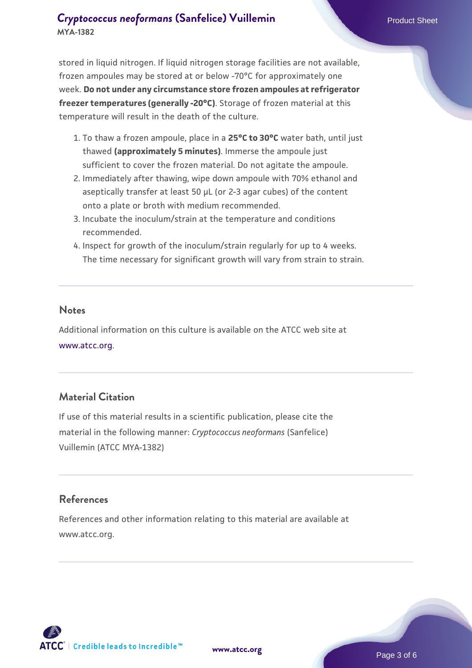## **[Cryptococcus neoformans](https://www.atcc.org/products/mya-1382) [\(Sanfelice\) Vuillemin](https://www.atcc.org/products/mya-1382)** Product Sheet **MYA-1382**

stored in liquid nitrogen. If liquid nitrogen storage facilities are not available, frozen ampoules may be stored at or below -70°C for approximately one week. **Do not under any circumstance store frozen ampoules at refrigerator freezer temperatures (generally -20°C)**. Storage of frozen material at this temperature will result in the death of the culture.

- 1. To thaw a frozen ampoule, place in a **25°C to 30°C** water bath, until just thawed **(approximately 5 minutes)**. Immerse the ampoule just sufficient to cover the frozen material. Do not agitate the ampoule.
- 2. Immediately after thawing, wipe down ampoule with 70% ethanol and aseptically transfer at least 50 µL (or 2-3 agar cubes) of the content onto a plate or broth with medium recommended.
- 3. Incubate the inoculum/strain at the temperature and conditions recommended.
- 4. Inspect for growth of the inoculum/strain regularly for up to 4 weeks. The time necessary for significant growth will vary from strain to strain.

#### **Notes**

Additional information on this culture is available on the ATCC web site at [www.atcc.org.](http://www.atcc.org/)

## **Material Citation**

If use of this material results in a scientific publication, please cite the material in the following manner: *Cryptococcus neoformans* (Sanfelice) Vuillemin (ATCC MYA-1382)

## **References**

References and other information relating to this material are available at www.atcc.org.

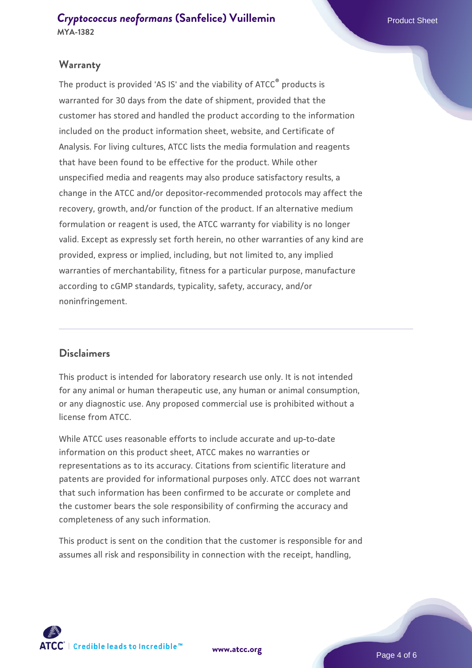## **Warranty**

The product is provided 'AS IS' and the viability of ATCC<sup>®</sup> products is warranted for 30 days from the date of shipment, provided that the customer has stored and handled the product according to the information included on the product information sheet, website, and Certificate of Analysis. For living cultures, ATCC lists the media formulation and reagents that have been found to be effective for the product. While other unspecified media and reagents may also produce satisfactory results, a change in the ATCC and/or depositor-recommended protocols may affect the recovery, growth, and/or function of the product. If an alternative medium formulation or reagent is used, the ATCC warranty for viability is no longer valid. Except as expressly set forth herein, no other warranties of any kind are provided, express or implied, including, but not limited to, any implied warranties of merchantability, fitness for a particular purpose, manufacture according to cGMP standards, typicality, safety, accuracy, and/or noninfringement.

#### **Disclaimers**

This product is intended for laboratory research use only. It is not intended for any animal or human therapeutic use, any human or animal consumption, or any diagnostic use. Any proposed commercial use is prohibited without a license from ATCC.

While ATCC uses reasonable efforts to include accurate and up-to-date information on this product sheet, ATCC makes no warranties or representations as to its accuracy. Citations from scientific literature and patents are provided for informational purposes only. ATCC does not warrant that such information has been confirmed to be accurate or complete and the customer bears the sole responsibility of confirming the accuracy and completeness of any such information.

This product is sent on the condition that the customer is responsible for and assumes all risk and responsibility in connection with the receipt, handling,



**[www.atcc.org](http://www.atcc.org)**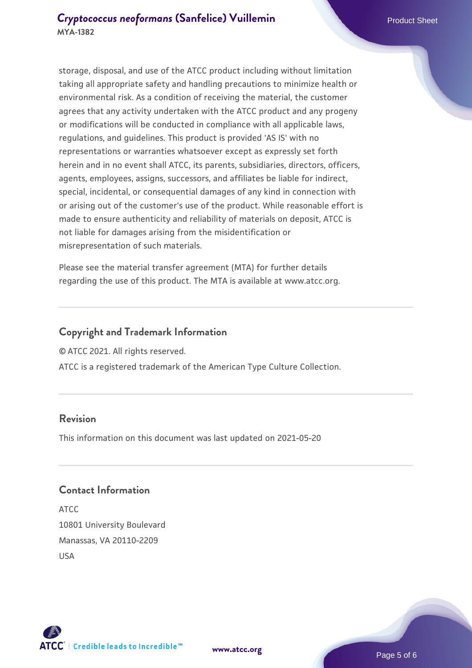storage, disposal, and use of the ATCC product including without limitation taking all appropriate safety and handling precautions to minimize health or environmental risk. As a condition of receiving the material, the customer agrees that any activity undertaken with the ATCC product and any progeny or modifications will be conducted in compliance with all applicable laws, regulations, and guidelines. This product is provided 'AS IS' with no representations or warranties whatsoever except as expressly set forth herein and in no event shall ATCC, its parents, subsidiaries, directors, officers, agents, employees, assigns, successors, and affiliates be liable for indirect, special, incidental, or consequential damages of any kind in connection with or arising out of the customer's use of the product. While reasonable effort is made to ensure authenticity and reliability of materials on deposit, ATCC is not liable for damages arising from the misidentification or misrepresentation of such materials.

Please see the material transfer agreement (MTA) for further details regarding the use of this product. The MTA is available at www.atcc.org.

## **Copyright and Trademark Information**

© ATCC 2021. All rights reserved.

ATCC is a registered trademark of the American Type Culture Collection.

## **Revision**

This information on this document was last updated on 2021-05-20

## **Contact Information**

ATCC 10801 University Boulevard Manassas, VA 20110-2209 USA